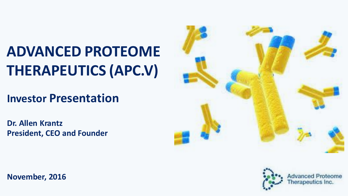# **ADVANCED PROTEOME THERAPEUTICS (APC.V)**

## **Investor Presentation**

**Dr. Allen Krantz President, CEO and Founder**





**Advanced Proteome** Therapeutics Inc.

**November, 2016**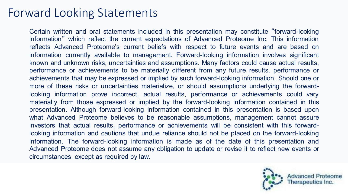### Forward Looking Statements

Certain written and oral statements included in this presentation may constitute "forward-looking information" which reflect the current expectations of Advanced Proteome Inc. This information reflects Advanced Proteome's current beliefs with respect to future events and are based on information currently available to management. Forward-looking information involves significant known and unknown risks, uncertainties and assumptions. Many factors could cause actual results, performance or achievements to be materially different from any future results, performance or achievements that may be expressed or implied by such forward-looking information. Should one or more of these risks or uncertainties materialize, or should assumptions underlying the forwardlooking information prove incorrect, actual results, performance or achievements could vary materially from those expressed or implied by the forward-looking information contained in this presentation. Although forward-looking information contained in this presentation is based upon what Advanced Proteome believes to be reasonable assumptions, management cannot assure investors that actual results, performance or achievements will be consistent with this forwardlooking information and cautions that undue reliance should not be placed on the forward-looking information. The forward-looking information is made as of the date of this presentation and Advanced Proteome does not assume any obligation to update or revise it to reflect new events or circumstances, except as required by law.

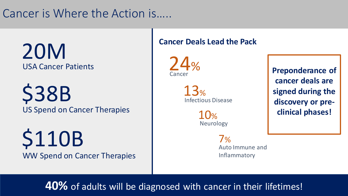### Cancer is Where the Action is…..

20M USA Cancer Patients

US Spend on Cancer Therapies \$38B

WW Spend on Cancer Therapies \$110B

### **Cancer Deals Lead the Pack**

Cancer 24%

> 13% Infectious Disease

> > 10% Neurology

> > > 7% Auto Immune and Inflammatory

**Preponderance of cancer deals are signed during the discovery or preclinical phases!**

**40%** of adults will be diagnosed with cancer in their lifetimes!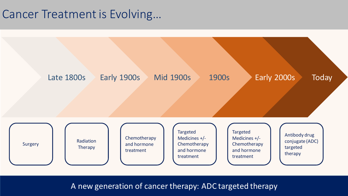### Cancer Treatment is Evolving…



A new generation of cancer therapy: ADC targeted therapy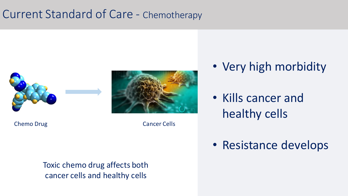### Current Standard of Care - Chemotherapy





Chemo Drug Cancer Cells

Toxic chemo drug affects both cancer cells and healthy cells

- Very high morbidity
- Kills cancer and healthy cells
- Resistance develops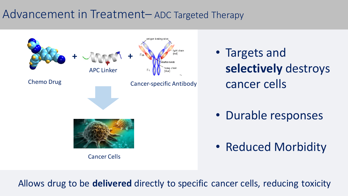### Advancement in Treatment– ADC Targeted Therapy



Allows drug to be **delivered** directly to specific cancer cells, reducing toxicity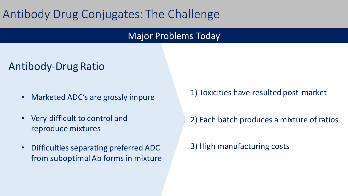## Antibody Drug Conjugates: The Challenge

### Major Problems Today

### Antibody-Drug Ratio

- Marketed ADC's are grossly impure
- Very difficult to control and reproduce mixtures
- Difficulties separating preferred ADC from suboptimal Ab forms in mixture

1) Toxicities have resulted post-market

2) Each batch produces a mixture of ratios

3) High manufacturing costs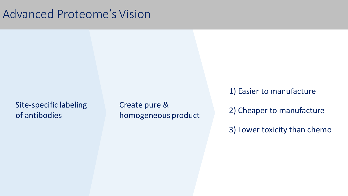### Advanced Proteome's Vision

Site-specific labeling of antibodies

Create pure & homogeneous product 1) Easier to manufacture

2) Cheaper to manufacture

3) Lower toxicity than chemo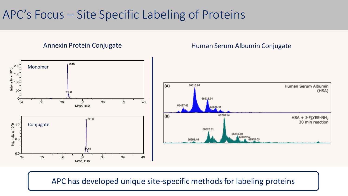### APC's Focus – Site Specific Labeling of Proteins

#### Annexin Protein Conjugate

#### Human Serum Albumin Conjugate



### APC has developed unique site-specific methods for labeling proteins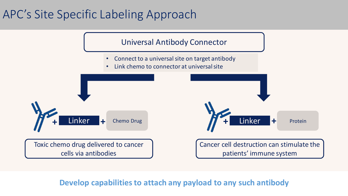## APC's Site Specific Labeling Approach



**Develop capabilities to attach any payload to any such antibody**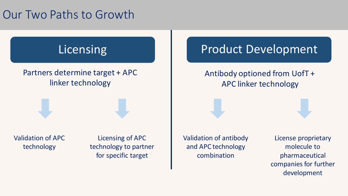### Our Two Paths to Growth

## **Licensing**

### Partners determine target + APC linker technology

Validation of APC technology

Licensing of APC technology to partner for specific target

Validation of antibody and APC technology combination

Antibody optioned from UofT +

Product Development

APC linker technology

License proprietary molecule to pharmaceutical companies for further development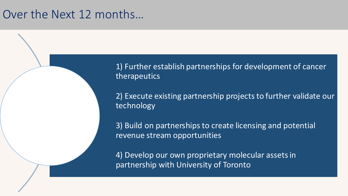### Over the Next 12 months…

1) Further establish partnerships for development of cancer therapeutics

2) Execute existing partnership projects to further validate our technology

3) Build on partnerships to create licensing and potential revenue stream opportunities

4) Develop our own proprietary molecular assets in partnership with University of Toronto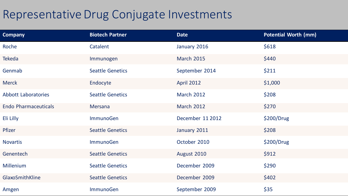### Representative Drug Conjugate Investments

| <b>Company</b>              | <b>Biotech Partner</b>  | <b>Date</b>       | <b>Potential Worth (mm)</b> |
|-----------------------------|-------------------------|-------------------|-----------------------------|
| Roche                       | Catalent                | January 2016      | \$618                       |
| <b>Tekeda</b>               | Immunogen               | <b>March 2015</b> | \$440                       |
| Genmab                      | <b>Seattle Genetics</b> | September 2014    | \$211                       |
| <b>Merck</b>                | Endocyte                | <b>April 2012</b> | \$1,000                     |
| <b>Abbott Laboratories</b>  | <b>Seattle Genetics</b> | <b>March 2012</b> | \$208                       |
| <b>Endo Pharmaceuticals</b> | Mersana                 | <b>March 2012</b> | \$270                       |
| Eli Lilly                   | <b>ImmunoGen</b>        | December 11 2012  | \$200/Drug                  |
| Pfizer                      | <b>Seattle Genetics</b> | January 2011      | \$208                       |
| <b>Novartis</b>             | <b>ImmunoGen</b>        | October 2010      | \$200/Drug                  |
| Genentech                   | <b>Seattle Genetics</b> | August 2010       | \$912                       |
| <b>Millenium</b>            | <b>Seattle Genetics</b> | December 2009     | \$290                       |
| GlaxoSmithKline             | <b>Seattle Genetics</b> | December 2009     | \$402                       |
| Amgen                       | <b>ImmunoGen</b>        | September 2009    | \$35                        |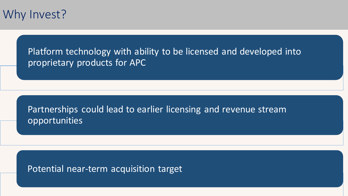

Platform technology with ability to be licensed and developed into proprietary products for APC

Partnerships could lead to earlier licensing and revenue stream opportunities

Potential near-term acquisition target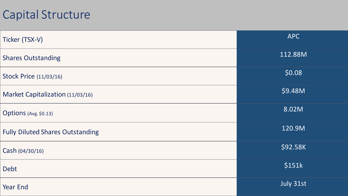## Capital Structure

| Ticker (TSX-V)                          | <b>APC</b> |
|-----------------------------------------|------------|
| <b>Shares Outstanding</b>               | 112.88M    |
| <b>Stock Price (11/03/16)</b>           | \$0.08     |
| Market Capitalization (11/03/16)        | \$9.48M    |
| Options (Avg. \$0.13)                   | 8.02M      |
| <b>Fully Diluted Shares Outstanding</b> | 120.9M     |
| Cash (04/30/16)                         | \$92.58K   |
| Debt                                    | \$151k     |
| <b>Year End</b>                         | July 31st  |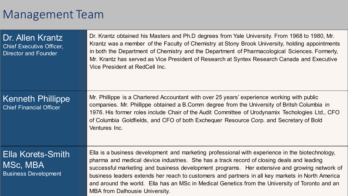### Management Team

| Dr. Allen Krantz<br><b>Chief Executive Officer,</b><br><b>Director and Founder</b> | Dr. Krantz obtained his Masters and Ph.D degrees from Yale University. From 1968 to 1980, Mr.<br>Krantz was a member of the Faculty of Chemistry at Stony Brook University, holding appointments<br>in both the Department of Chemistry and the Department of Pharmacological Sciences. Formerly,<br>Mr. Krantz has served as Vice President of Research at Syntex Research Canada and Executive<br>Vice President at RedCell Inc.                                                                                                           |
|------------------------------------------------------------------------------------|----------------------------------------------------------------------------------------------------------------------------------------------------------------------------------------------------------------------------------------------------------------------------------------------------------------------------------------------------------------------------------------------------------------------------------------------------------------------------------------------------------------------------------------------|
| <b>Kenneth Phillippe</b><br><b>Chief Financial Officer</b>                         | Mr. Phillippe is a Chartered Accountant with over 25 years' experience working with public<br>companies. Mr. Phillippe obtained a B.Comm degree from the University of Britsh Columbia in<br>1976. His former roles include Chair of the Audit Committee of Urodynamix Techologies Ltd., CFO<br>of Columbia Goldfields, and CFO of both Exchequer Resource Corp. and Secretary of Bold<br>Ventures Inc.                                                                                                                                      |
| Ella Korets-Smith<br>MSc, MBA<br><b>Business Development</b>                       | Ella is a business development and marketing professional with experience in the biotechnology,<br>pharma and medical device industries. She has a track record of closing deals and leading<br>successful marketing and business development programs. Her extensive and growing network of<br>business leaders extends her reach to customers and partners in all key markets in North America<br>and around the world. Ella has an MSc in Medical Genetics from the University of Toronto and an<br><b>MBA from Dalhousie University.</b> |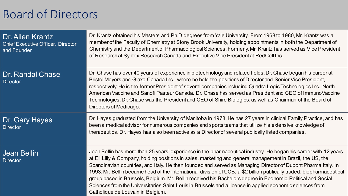### Board of Directors

| Dr. Allen Krantz<br><b>Chief Executive Officer, Director</b><br>and Founder | Dr. Krantz obtained his Masters and Ph.D degrees from Yale University. From 1968 to 1980, Mr. Krantz was a<br>member of the Faculty of Chemistry at Stony Brook University, holding appointments in both the Department of<br>Chemistry and the Department of Pharmacological Sciences. Formerly, Mr. Krantz has served as Vice President<br>of Research at Syntex Research Canada and Executive Vice President at RedCell Inc.                                                                                                                                                                                                                                                                                                            |
|-----------------------------------------------------------------------------|--------------------------------------------------------------------------------------------------------------------------------------------------------------------------------------------------------------------------------------------------------------------------------------------------------------------------------------------------------------------------------------------------------------------------------------------------------------------------------------------------------------------------------------------------------------------------------------------------------------------------------------------------------------------------------------------------------------------------------------------|
| Dr. Randal Chase<br><b>Director</b>                                         | Dr. Chase has over 40 years of experience in biotechnology and related fields. Dr. Chase began his career at<br>Bristol Meyers and Glaxo Canada Inc., where he held the positions of Director and Senior Vice President,<br>respectively. He is the former President of several companies including Quadra Logic Technologies Inc., North<br>American Vaccine and Sanofi Pasteur Canada. Dr. Chase has served as President and CEO of Immuno Vaccine<br>Technologies. Dr. Chase was the President and CEO of Shire Biologics, as well as Chairman of the Board of<br>Directors of Medicago.                                                                                                                                                |
| Dr. Gary Hayes<br><b>Director</b>                                           | Dr. Hayes graduated from the University of Manitoba in 1978. He has 27 years in clinical Family Practice, and has<br>been a medical advisor for numerous companies and sports teams that utilize his extensive knowledge of<br>therapeutics. Dr. Hayes has also been active as a Director of several publically listed companies.                                                                                                                                                                                                                                                                                                                                                                                                          |
| <b>Jean Bellin</b><br><b>Director</b>                                       | Jean Bellin has more than 25 years' experience in the pharmaceutical industry. He began his career with 12 years<br>at Eli Lilly & Company, holding positions in sales, marketing and general management in Brazil, the US, the<br>Scandinavian countries, and Italy. He then founded and served as Managing Director of Dupont Pharma Italy. In<br>1993, Mr. Bellin became head of the international division of UCB, a \$2 billion publically traded, biopharmaceutical<br>group based in Brussels, Belgium. Mr. Bellin received his Bachelors degree in Economic, Political and Social<br>Sciences from the Universitaries Saint Louis in Brussels and a license in applied economic sciences from<br>Catholique de Louvain in Belgium. |